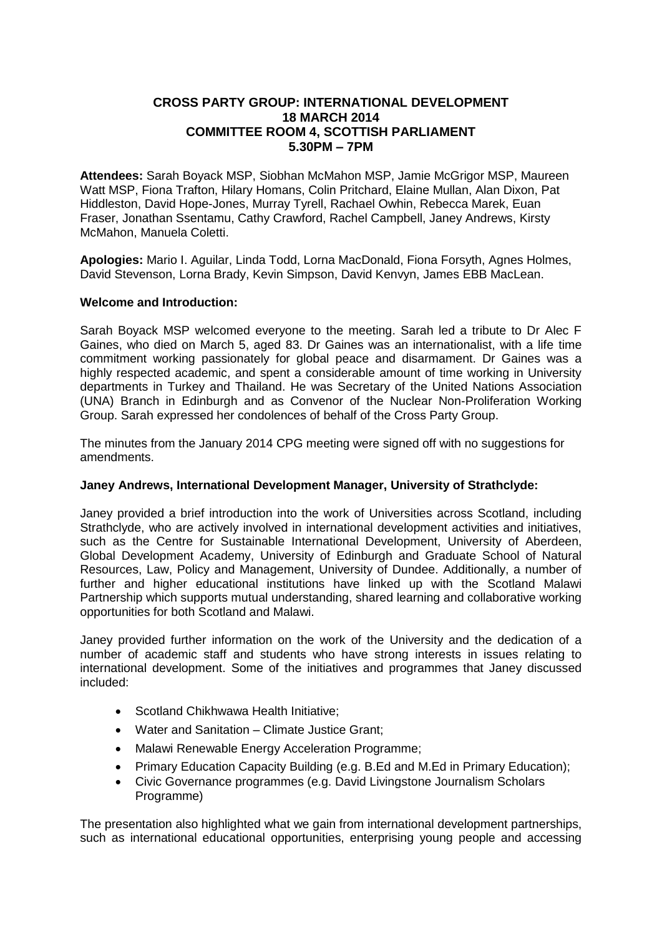# **CROSS PARTY GROUP: INTERNATIONAL DEVELOPMENT 18 MARCH 2014 COMMITTEE ROOM 4, SCOTTISH PARLIAMENT 5.30PM – 7PM**

**Attendees:** Sarah Boyack MSP, Siobhan McMahon MSP, Jamie McGrigor MSP, Maureen Watt MSP, Fiona Trafton, Hilary Homans, Colin Pritchard, Elaine Mullan, Alan Dixon, Pat Hiddleston, David Hope-Jones, Murray Tyrell, Rachael Owhin, Rebecca Marek, Euan Fraser, Jonathan Ssentamu, Cathy Crawford, Rachel Campbell, Janey Andrews, Kirsty McMahon, Manuela Coletti.

**Apologies:** Mario I. Aguilar, Linda Todd, Lorna MacDonald, Fiona Forsyth, Agnes Holmes, David Stevenson, Lorna Brady, Kevin Simpson, David Kenvyn, James EBB MacLean.

# **Welcome and Introduction:**

Sarah Boyack MSP welcomed everyone to the meeting. Sarah led a tribute to Dr Alec F Gaines, who died on March 5, aged 83. Dr Gaines was an internationalist, with a life time commitment working passionately for global peace and disarmament. Dr Gaines was a highly respected academic, and spent a considerable amount of time working in University departments in Turkey and Thailand. He was Secretary of the United Nations Association (UNA) Branch in Edinburgh and as Convenor of the Nuclear Non-Proliferation Working Group. Sarah expressed her condolences of behalf of the Cross Party Group.

The minutes from the January 2014 CPG meeting were signed off with no suggestions for amendments.

### **Janey Andrews, International Development Manager, University of Strathclyde:**

Janey provided a brief introduction into the work of Universities across Scotland, including Strathclyde, who are actively involved in international development activities and initiatives, such as the Centre for Sustainable International Development, University of Aberdeen, Global Development Academy, University of Edinburgh and Graduate School of Natural Resources, Law, Policy and Management, University of Dundee. Additionally, a number of further and higher educational institutions have linked up with the Scotland Malawi Partnership which supports mutual understanding, shared learning and collaborative working opportunities for both Scotland and Malawi.

Janey provided further information on the work of the University and the dedication of a number of academic staff and students who have strong interests in issues relating to international development. Some of the initiatives and programmes that Janey discussed included:

- Scotland Chikhwawa Health Initiative;
- Water and Sanitation Climate Justice Grant;
- Malawi Renewable Energy Acceleration Programme;
- Primary Education Capacity Building (e.g. B.Ed and M.Ed in Primary Education);
- Civic Governance programmes (e.g. David Livingstone Journalism Scholars Programme)

The presentation also highlighted what we gain from international development partnerships, such as international educational opportunities, enterprising young people and accessing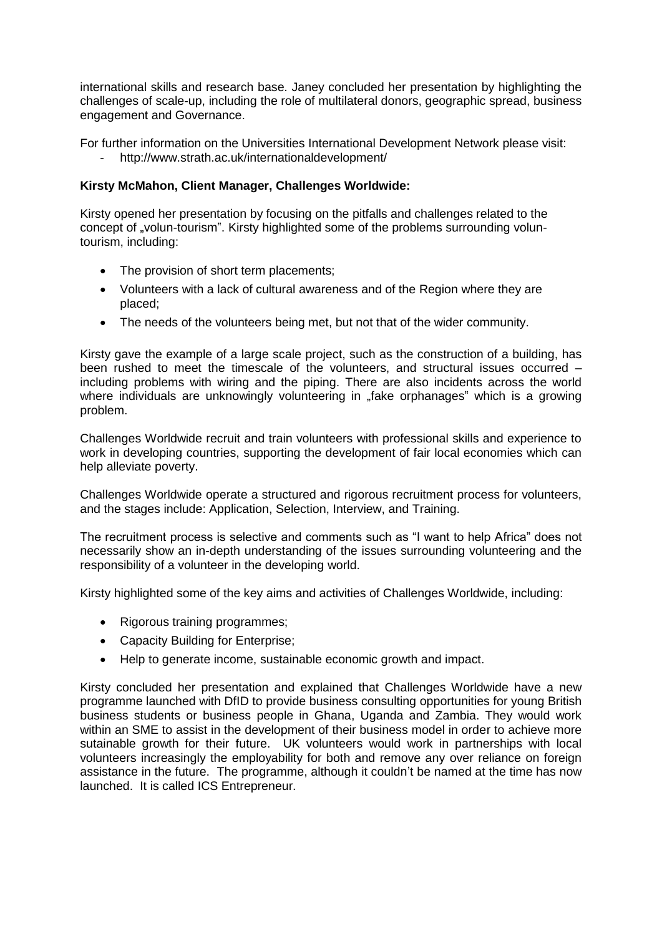international skills and research base. Janey concluded her presentation by highlighting the challenges of scale-up, including the role of multilateral donors, geographic spread, business engagement and Governance.

For further information on the Universities International Development Network please visit:

- http://www.strath.ac.uk/internationaldevelopment/

# **Kirsty McMahon, Client Manager, Challenges Worldwide:**

Kirsty opened her presentation by focusing on the pitfalls and challenges related to the concept of "volun-tourism". Kirsty highlighted some of the problems surrounding voluntourism, including:

- The provision of short term placements;
- Volunteers with a lack of cultural awareness and of the Region where they are placed;
- The needs of the volunteers being met, but not that of the wider community.

Kirsty gave the example of a large scale project, such as the construction of a building, has been rushed to meet the timescale of the volunteers, and structural issues occurred – including problems with wiring and the piping. There are also incidents across the world where individuals are unknowingly volunteering in "fake orphanages" which is a growing problem.

Challenges Worldwide recruit and train volunteers with professional skills and experience to work in developing countries, supporting the development of fair local economies which can help alleviate poverty.

Challenges Worldwide operate a structured and rigorous recruitment process for volunteers, and the stages include: Application, Selection, Interview, and Training.

The recruitment process is selective and comments such as "I want to help Africa" does not necessarily show an in-depth understanding of the issues surrounding volunteering and the responsibility of a volunteer in the developing world.

Kirsty highlighted some of the key aims and activities of Challenges Worldwide, including:

- Rigorous training programmes;
- Capacity Building for Enterprise;
- Help to generate income, sustainable economic growth and impact.

Kirsty concluded her presentation and explained that Challenges Worldwide have a new programme launched with DfID to provide business consulting opportunities for young British business students or business people in Ghana, Uganda and Zambia. They would work within an SME to assist in the development of their business model in order to achieve more sutainable growth for their future. UK volunteers would work in partnerships with local volunteers increasingly the employability for both and remove any over reliance on foreign assistance in the future. The programme, although it couldn't be named at the time has now launched. It is called ICS Entrepreneur.